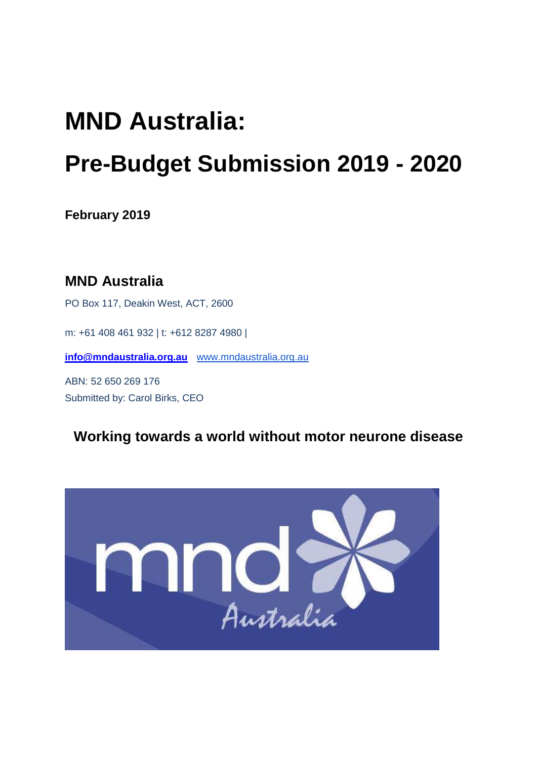# **MND Australia: Pre-Budget Submission 2019 - 2020**

**February 2019** 

**MND Australia**  PO Box 117, Deakin West, ACT, 2600 m: +61 408 461 932 | t: +612 8287 4980 | **[info@mndaustralia.org.au](mailto:info@mndaustralia.org.au)** [www.mndaustralia.org.au](http://www.mndaust.asn.au/) ABN: 52 650 269 176 Submitted by: Carol Birks, CEO

**Working towards a world without motor neurone disease** 

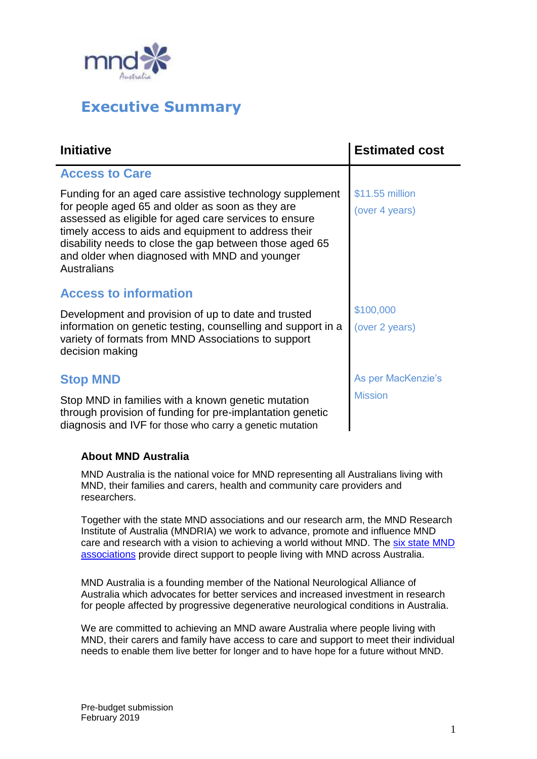

## **Executive Summary**

| <b>Initiative</b>                                                                                                                                                                                                                                                                                                                                        | <b>Estimated cost</b>                |
|----------------------------------------------------------------------------------------------------------------------------------------------------------------------------------------------------------------------------------------------------------------------------------------------------------------------------------------------------------|--------------------------------------|
| <b>Access to Care</b>                                                                                                                                                                                                                                                                                                                                    |                                      |
| Funding for an aged care assistive technology supplement<br>for people aged 65 and older as soon as they are<br>assessed as eligible for aged care services to ensure<br>timely access to aids and equipment to address their<br>disability needs to close the gap between those aged 65<br>and older when diagnosed with MND and younger<br>Australians | \$11.55 million<br>(over 4 years)    |
| <b>Access to information</b>                                                                                                                                                                                                                                                                                                                             |                                      |
| Development and provision of up to date and trusted<br>information on genetic testing, counselling and support in a<br>variety of formats from MND Associations to support<br>decision making                                                                                                                                                            | \$100,000<br>(over 2 years)          |
| <b>Stop MND</b><br>Stop MND in families with a known genetic mutation<br>through provision of funding for pre-implantation genetic<br>diagnosis and IVF for those who carry a genetic mutation                                                                                                                                                           | As per MacKenzie's<br><b>Mission</b> |

#### **About MND Australia**

MND Australia is the national voice for MND representing all Australians living with MND, their families and carers, health and community care providers and researchers.

Together with the state MND associations and our research arm, the MND Research Institute of Australia (MNDRIA) we work to advance, promote and influence MND care and research with a vision to achieving a world without MND. The [six state](https://www.mndaust.asn.au/Find-help/Support-from-state-MND-associations.aspx) MND [associations](https://www.mndaust.asn.au/Find-help/Support-from-state-MND-associations.aspx) provide direct support to people living with MND across Australia.

MND Australia is a founding member of the National Neurological Alliance of Australia which advocates for better services and increased investment in research for people affected by progressive degenerative neurological conditions in Australia.

We are committed to achieving an MND aware Australia where people living with MND, their carers and family have access to care and support to meet their individual needs to enable them live better for longer and to have hope for a future without MND.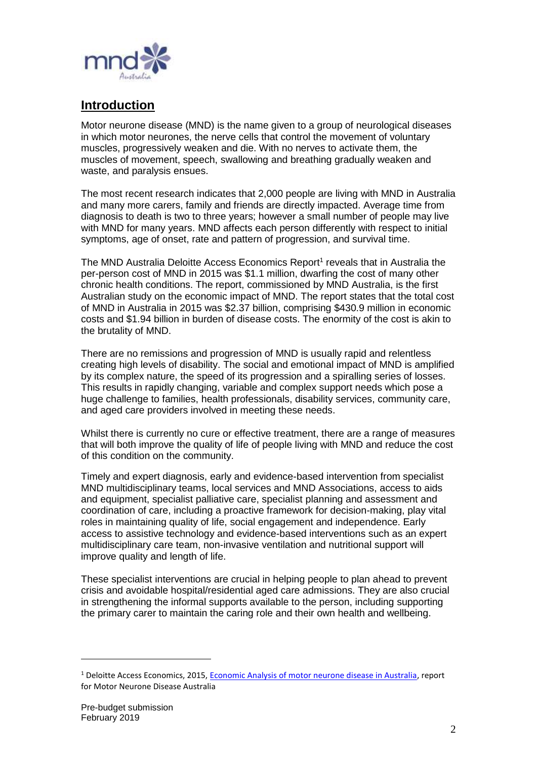

## **Introduction**

Motor neurone disease (MND) is the name given to a group of neurological diseases in which motor neurones, the nerve cells that control the movement of voluntary muscles, progressively weaken and die. With no nerves to activate them, the muscles of movement, speech, swallowing and breathing gradually weaken and waste, and paralysis ensues.

The most recent research indicates that 2,000 people are living with MND in Australia and many more carers, family and friends are directly impacted. Average time from diagnosis to death is two to three years; however a small number of people may live with MND for many years. MND affects each person differently with respect to initial symptoms, age of onset, rate and pattern of progression, and survival time.

The MND Australia Deloitte Access Economics Report<sup>1</sup> reveals that in Australia the per-person cost of MND in 2015 was \$1.1 million, dwarfing the cost of many other chronic health conditions. The report, commissioned by MND Australia, is the first Australian study on the economic impact of MND. The report states that the total cost of MND in Australia in 2015 was \$2.37 billion, comprising \$430.9 million in economic costs and \$1.94 billion in burden of disease costs. The enormity of the cost is akin to the brutality of MND.

There are no remissions and progression of MND is usually rapid and relentless creating high levels of disability. The social and emotional impact of MND is amplified by its complex nature, the speed of its progression and a spiralling series of losses. This results in rapidly changing, variable and complex support needs which pose a huge challenge to families, health professionals, disability services, community care, and aged care providers involved in meeting these needs.

Whilst there is currently no cure or effective treatment, there are a range of measures that will both improve the quality of life of people living with MND and reduce the cost of this condition on the community.

Timely and expert diagnosis, early and evidence-based intervention from specialist MND multidisciplinary teams, local services and MND Associations, access to aids and equipment, specialist palliative care, specialist planning and assessment and coordination of care, including a proactive framework for decision-making, play vital roles in maintaining quality of life, social engagement and independence. Early access to assistive technology and evidence-based interventions such as an expert multidisciplinary care team, non-invasive ventilation and nutritional support will improve quality and length of life.

These specialist interventions are crucial in helping people to plan ahead to prevent crisis and avoidable hospital/residential aged care admissions. They are also crucial in strengthening the informal supports available to the person, including supporting the primary carer to maintain the caring role and their own health and wellbeing.

l

<sup>1</sup> Deloitte Access Economics, 2015[, Economic Analysis of motor neurone disease in Australia,](https://www.mndaust.asn.au/Influencing-policy/Economic-analysis-of-MND-(1)/Economic-analysis-of-MND-in-Australia.aspx) report for Motor Neurone Disease Australia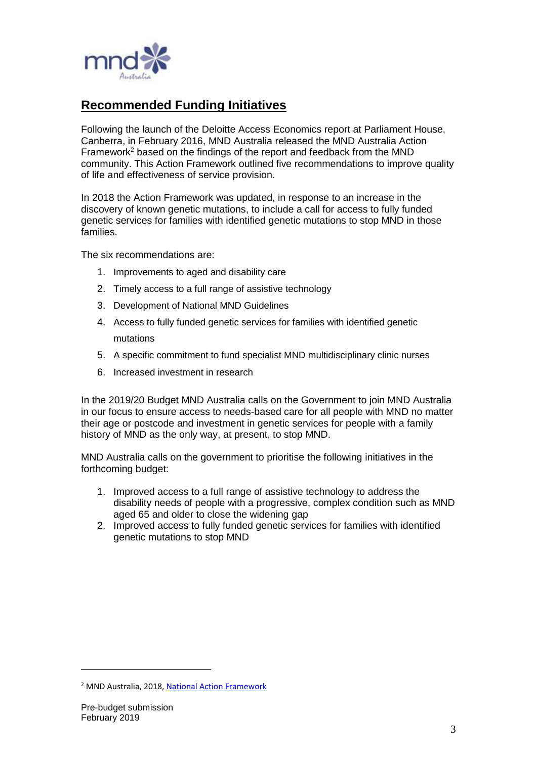

## **Recommended Funding Initiatives**

Following the launch of the Deloitte Access Economics report at Parliament House, Canberra, in February 2016, MND Australia released the MND Australia Action Framework<sup>2</sup> based on the findings of the report and feedback from the MND community. This Action Framework outlined five recommendations to improve quality of life and effectiveness of service provision.

In 2018 the Action Framework was updated, in response to an increase in the discovery of known genetic mutations, to include a call for access to fully funded genetic services for families with identified genetic mutations to stop MND in those families.

The six recommendations are:

- 1. Improvements to aged and disability care
- 2. Timely access to a full range of assistive technology
- 3. Development of National MND Guidelines
- 4. Access to fully funded genetic services for families with identified genetic mutations
- 5. A specific commitment to fund specialist MND multidisciplinary clinic nurses
- 6. Increased investment in research

In the 2019/20 Budget MND Australia calls on the Government to join MND Australia in our focus to ensure access to needs-based care for all people with MND no matter their age or postcode and investment in genetic services for people with a family history of MND as the only way, at present, to stop MND.

MND Australia calls on the government to prioritise the following initiatives in the forthcoming budget:

- 1. Improved access to a full range of assistive technology to address the disability needs of people with a progressive, complex condition such as MND aged 65 and older to close the widening gap
- 2. Improved access to fully funded genetic services for families with identified genetic mutations to stop MND

l

<sup>&</sup>lt;sup>2</sup> MND Australia, 2018[, National Action Framework](https://www.mndaust.asn.au/Documents/MND-Australia-Action-Framework.aspx)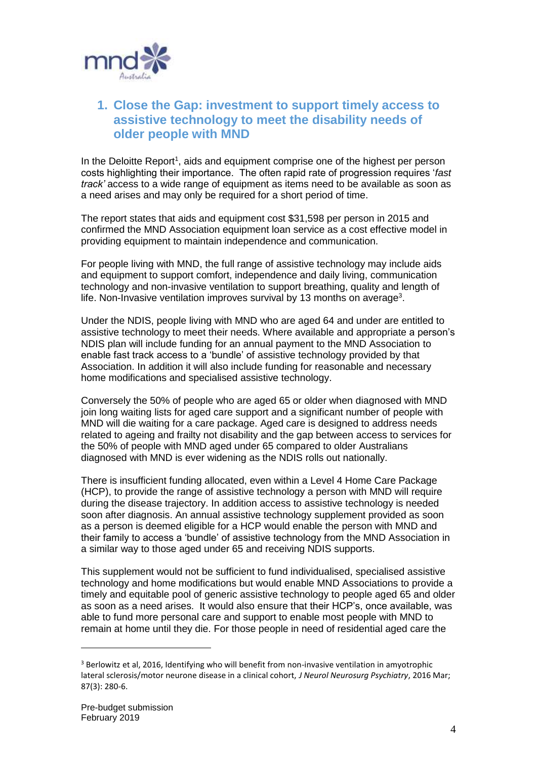

## **1. Close the Gap: investment to support timely access to assistive technology to meet the disability needs of older people with MND**

In the Deloitte Report<sup>1</sup>, aids and equipment comprise one of the highest per person costs highlighting their importance. The often rapid rate of progression requires '*fast track'* access to a wide range of equipment as items need to be available as soon as a need arises and may only be required for a short period of time.

The report states that aids and equipment cost \$31,598 per person in 2015 and confirmed the MND Association equipment loan service as a cost effective model in providing equipment to maintain independence and communication.

For people living with MND, the full range of assistive technology may include aids and equipment to support comfort, independence and daily living, communication technology and non-invasive ventilation to support breathing, quality and length of life. Non-Invasive ventilation improves survival by 13 months on average<sup>3</sup>.

Under the NDIS, people living with MND who are aged 64 and under are entitled to assistive technology to meet their needs. Where available and appropriate a person's NDIS plan will include funding for an annual payment to the MND Association to enable fast track access to a 'bundle' of assistive technology provided by that Association. In addition it will also include funding for reasonable and necessary home modifications and specialised assistive technology.

Conversely the 50% of people who are aged 65 or older when diagnosed with MND join long waiting lists for aged care support and a significant number of people with MND will die waiting for a care package. Aged care is designed to address needs related to ageing and frailty not disability and the gap between access to services for the 50% of people with MND aged under 65 compared to older Australians diagnosed with MND is ever widening as the NDIS rolls out nationally.

There is insufficient funding allocated, even within a Level 4 Home Care Package (HCP), to provide the range of assistive technology a person with MND will require during the disease trajectory. In addition access to assistive technology is needed soon after diagnosis. An annual assistive technology supplement provided as soon as a person is deemed eligible for a HCP would enable the person with MND and their family to access a 'bundle' of assistive technology from the MND Association in a similar way to those aged under 65 and receiving NDIS supports.

This supplement would not be sufficient to fund individualised, specialised assistive technology and home modifications but would enable MND Associations to provide a timely and equitable pool of generic assistive technology to people aged 65 and older as soon as a need arises. It would also ensure that their HCP's, once available, was able to fund more personal care and support to enable most people with MND to remain at home until they die. For those people in need of residential aged care the

<sup>&</sup>lt;sup>3</sup> Berlowitz et al, 2016, Identifying who will benefit from non-invasive ventilation in amyotrophic lateral sclerosis/motor neurone disease in a clinical cohort, *J Neurol Neurosurg Psychiatry*, 2016 Mar; 87(3): 280-6.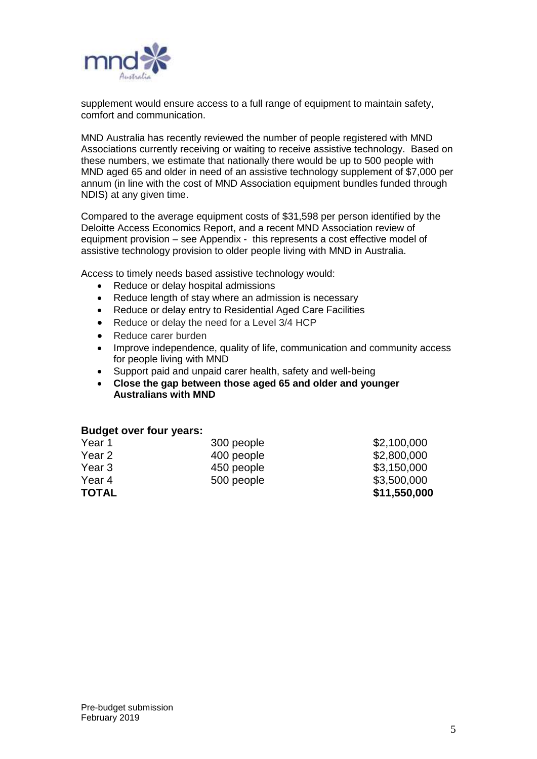

supplement would ensure access to a full range of equipment to maintain safety, comfort and communication.

MND Australia has recently reviewed the number of people registered with MND Associations currently receiving or waiting to receive assistive technology. Based on these numbers, we estimate that nationally there would be up to 500 people with MND aged 65 and older in need of an assistive technology supplement of \$7,000 per annum (in line with the cost of MND Association equipment bundles funded through NDIS) at any given time.

Compared to the average equipment costs of \$31,598 per person identified by the Deloitte Access Economics Report, and a recent MND Association review of equipment provision – see Appendix - this represents a cost effective model of assistive technology provision to older people living with MND in Australia.

Access to timely needs based assistive technology would:

- Reduce or delay hospital admissions
- Reduce length of stay where an admission is necessary
- Reduce or delay entry to Residential Aged Care Facilities
- Reduce or delay the need for a Level 3/4 HCP
- Reduce carer burden
- Improve independence, quality of life, communication and community access for people living with MND
- Support paid and unpaid carer health, safety and well-being
- **Close the gap between those aged 65 and older and younger Australians with MND**

#### **Budget over four years:**

| <b>TOTAL</b> |            | \$11,550,000 |
|--------------|------------|--------------|
| Year 4       | 500 people | \$3,500,000  |
| Year 3       | 450 people | \$3,150,000  |
| Year 2       | 400 people | \$2,800,000  |
| Year 1       | 300 people | \$2,100,000  |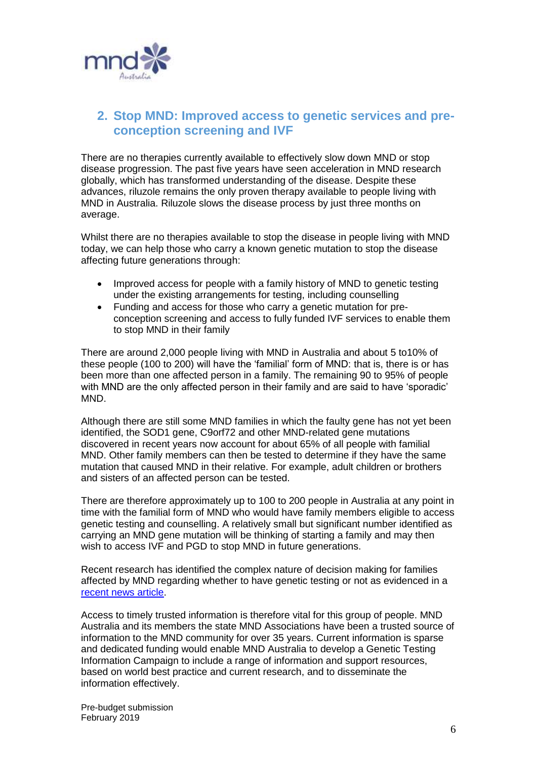

## **2. Stop MND: Improved access to genetic services and preconception screening and IVF**

There are no therapies currently available to effectively slow down MND or stop disease progression. The past five years have seen acceleration in MND research globally, which has transformed understanding of the disease. Despite these advances, riluzole remains the only proven therapy available to people living with MND in Australia. Riluzole slows the disease process by just three months on average.

Whilst there are no therapies available to stop the disease in people living with MND today, we can help those who carry a known genetic mutation to stop the disease affecting future generations through:

- Improved access for people with a family history of MND to genetic testing under the existing arrangements for testing, including counselling
- Funding and access for those who carry a genetic mutation for preconception screening and access to fully funded IVF services to enable them to stop MND in their family

There are around 2,000 people living with MND in Australia and about 5 to10% of these people (100 to 200) will have the 'familial' form of MND: that is, there is or has been more than one affected person in a family. The remaining 90 to 95% of people with MND are the only affected person in their family and are said to have 'sporadic' MND.

Although there are still some MND families in which the faulty gene has not yet been identified, the SOD1 gene, C9orf72 and other MND-related gene mutations discovered in recent years now account for about 65% of all people with familial MND. Other family members can then be tested to determine if they have the same mutation that caused MND in their relative. For example, adult children or brothers and sisters of an affected person can be tested.

There are therefore approximately up to 100 to 200 people in Australia at any point in time with the familial form of MND who would have family members eligible to access genetic testing and counselling. A relatively small but significant number identified as carrying an MND gene mutation will be thinking of starting a family and may then wish to access IVF and PGD to stop MND in future generations.

Recent research has identified the complex nature of decision making for families affected by MND regarding whether to have genetic testing or not as evidenced in a [recent news article.](https://tendaily.com.au/shows/theproject/news/a190204hbo/would-you-want-to-know-how-you-could-die-20190204)

Access to timely trusted information is therefore vital for this group of people. MND Australia and its members the state MND Associations have been a trusted source of information to the MND community for over 35 years. Current information is sparse and dedicated funding would enable MND Australia to develop a Genetic Testing Information Campaign to include a range of information and support resources, based on world best practice and current research, and to disseminate the information effectively.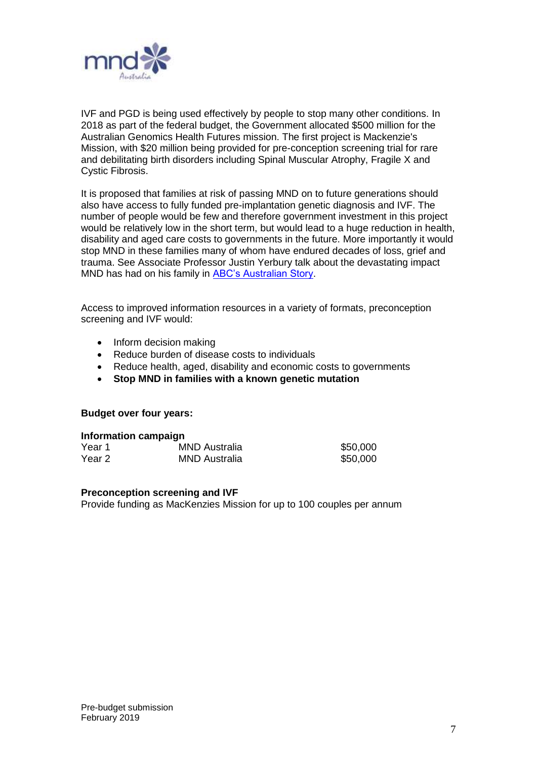

IVF and PGD is being used effectively by people to stop many other conditions. In 2018 as part of the federal budget, the Government allocated \$500 million for the Australian Genomics Health Futures mission. The first project is Mackenzie's Mission, with \$20 million being provided for pre-conception screening trial for rare and debilitating birth disorders including Spinal Muscular Atrophy, Fragile X and Cystic Fibrosis.

It is proposed that families at risk of passing MND on to future generations should also have access to fully funded pre-implantation genetic diagnosis and IVF. The number of people would be few and therefore government investment in this project would be relatively low in the short term, but would lead to a huge reduction in health, disability and aged care costs to governments in the future. More importantly it would stop MND in these families many of whom have endured decades of loss, grief and trauma. See Associate Professor Justin Yerbury talk about the devastating impact MND has had on his family in [ABC's Australian Story.](https://www.abc.net.au/austory/no-surrender/10456238)

Access to improved information resources in a variety of formats, preconception screening and IVF would:

- Inform decision making
- Reduce burden of disease costs to individuals
- Reduce health, aged, disability and economic costs to governments
- **Stop MND in families with a known genetic mutation**

#### **Budget over four years:**

| Information campaign |                      |          |  |
|----------------------|----------------------|----------|--|
| Year 1               | <b>MND Australia</b> | \$50,000 |  |
| Year 2               | <b>MND Australia</b> | \$50,000 |  |

#### **Preconception screening and IVF**

Provide funding as MacKenzies Mission for up to 100 couples per annum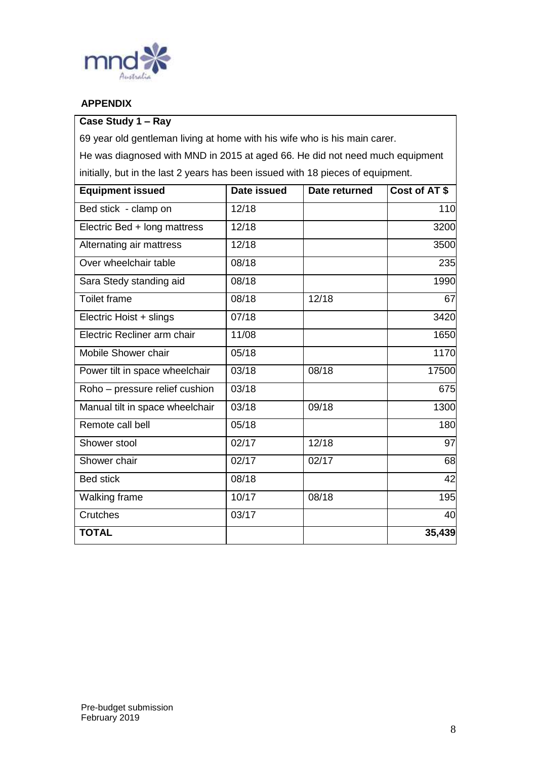

#### **APPENDIX**

### **Case Study 1 – Ray**

69 year old gentleman living at home with his wife who is his main carer.

He was diagnosed with MND in 2015 at aged 66. He did not need much equipment initially, but in the last 2 years has been issued with 18 pieces of equipment.

| <b>Equipment issued</b>         | Date issued | Date returned | Cost of AT \$ |
|---------------------------------|-------------|---------------|---------------|
| Bed stick - clamp on            | 12/18       |               | 110           |
| Electric Bed + long mattress    | 12/18       |               | 3200          |
| Alternating air mattress        | 12/18       |               | 3500          |
| Over wheelchair table           | 08/18       |               | 235           |
| Sara Stedy standing aid         | 08/18       |               | 1990          |
| <b>Toilet frame</b>             | 08/18       | 12/18         | 67            |
| Electric Hoist + slings         | 07/18       |               | 3420          |
| Electric Recliner arm chair     | 11/08       |               | 1650          |
| Mobile Shower chair             | 05/18       |               | 1170          |
| Power tilt in space wheelchair  | 03/18       | 08/18         | 17500         |
| Roho - pressure relief cushion  | 03/18       |               | 675           |
| Manual tilt in space wheelchair | 03/18       | 09/18         | 1300          |
| Remote call bell                | 05/18       |               | 180           |
| Shower stool                    | 02/17       | 12/18         | 97            |
| Shower chair                    | 02/17       | 02/17         | 68            |
| <b>Bed stick</b>                | 08/18       |               | 42            |
| Walking frame                   | 10/17       | 08/18         | 195           |
| <b>Crutches</b>                 | 03/17       |               | 40            |
| <b>TOTAL</b>                    |             |               | 35,439        |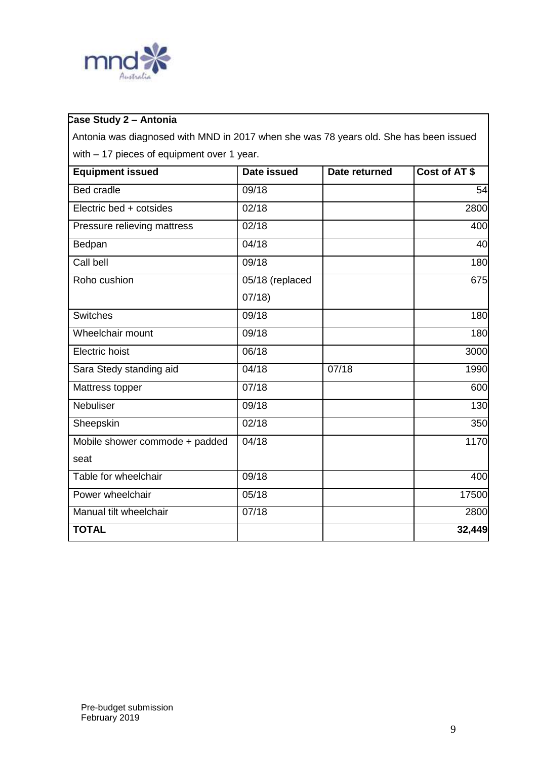

 Antonia was diagnosed with MND in 2017 when she was 78 years old. She has been issued with – 17 pieces of equipment over 1 year.

| <b>Equipment issued</b>        | Date issued     | Date returned | Cost of AT\$ |
|--------------------------------|-----------------|---------------|--------------|
| <b>Bed cradle</b>              | 09/18           |               | 54           |
| Electric bed + cotsides        | 02/18           |               | 2800         |
| Pressure relieving mattress    | 02/18           |               | 400          |
| Bedpan                         | 04/18           |               | 40           |
| Call bell                      | 09/18           |               | 180          |
| Roho cushion                   | 05/18 (replaced |               | 675          |
|                                | 07/18           |               |              |
| <b>Switches</b>                | 09/18           |               | 180          |
| Wheelchair mount               | 09/18           |               | 180          |
| <b>Electric hoist</b>          | 06/18           |               | 3000         |
| Sara Stedy standing aid        | 04/18           | 07/18         | 1990         |
| Mattress topper                | 07/18           |               | 600          |
| Nebuliser                      | 09/18           |               | 130          |
| Sheepskin                      | 02/18           |               | 350          |
| Mobile shower commode + padded | 04/18           |               | 1170         |
| seat                           |                 |               |              |
| Table for wheelchair           | 09/18           |               | 400          |
| Power wheelchair               | 05/18           |               | 17500        |
| Manual tilt wheelchair         | 07/18           |               | 2800         |
| <b>TOTAL</b>                   |                 |               | 32,449       |